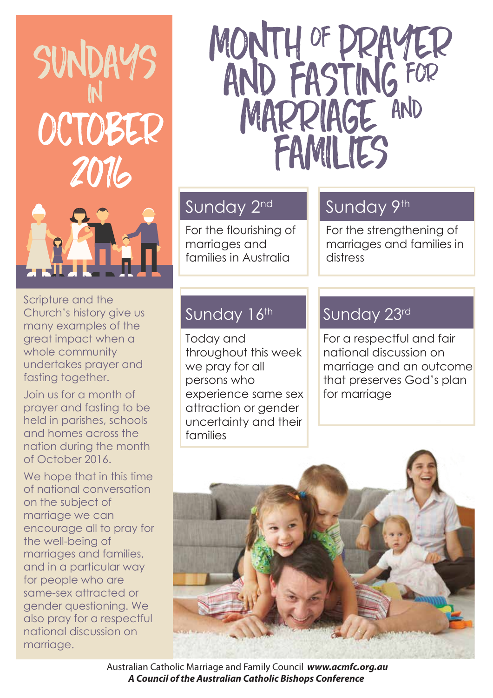

#### Scripture and the Church's history give us many examples of the great impact when a whole community undertakes prayer and fasting together.

Join us for a month of prayer and fasting to be held in parishes, schools and homes across the nation during the month of October 2016.

We hope that in this time of national conversation on the subject of marriage we can encourage all to pray for the well-being of marriages and families, and in a particular way for people who are same-sex attracted or gender questioning. We also pray for a respectful national discussion on marriage.

## MONTH OF DRAYER<br>AND FASTING FOR<br>MARRIAGE AND FAMILIES

#### Sunday 2nd

For the flourishing of marriages and families in Australia

### Sunday 9th

For the strengthening of marriages and families in distress

#### Sunday 16th

Today and throughout this week we pray for all persons who experience same sex attraction or gender uncertainty and their families

#### Sunday 23rd

For a respectful and fair national discussion on marriage and an outcome that preserves God's plan for marriage



 Australian Catholic Marriage and Family Council *www.acmfc.org.au A Council of the Australian Catholic Bishops Conference*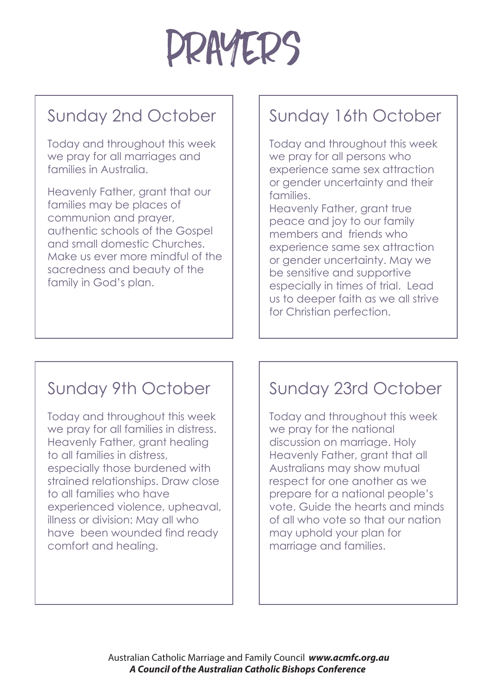

### Sunday 2nd October

Today and throughout this week we pray for all marriages and families in Australia.

Heavenly Father, grant that our families may be places of communion and prayer, authentic schools of the Gospel and small domestic Churches. Make us ever more mindful of the sacredness and beauty of the family in God's plan.

#### Sunday 16th October

Today and throughout this week we pray for all persons who experience same sex attraction or gender uncertainty and their families.

Heavenly Father, grant true peace and joy to our family members and friends who experience same sex attraction or gender uncertainty. May we be sensitive and supportive especially in times of trial. Lead us to deeper faith as we all strive for Christian perfection.

#### Sunday 9th October

Today and throughout this week we pray for all families in distress. Heavenly Father, grant healing to all families in distress, especially those burdened with strained relationships. Draw close to all families who have experienced violence, upheaval, illness or division: May all who have been wounded find ready comfort and healing.

### Sunday 23rd October

Today and throughout this week we pray for the national discussion on marriage. Holy Heavenly Father, grant that all Australians may show mutual respect for one another as we prepare for a national people's vote. Guide the hearts and minds of all who vote so that our nation may uphold your plan for marriage and families.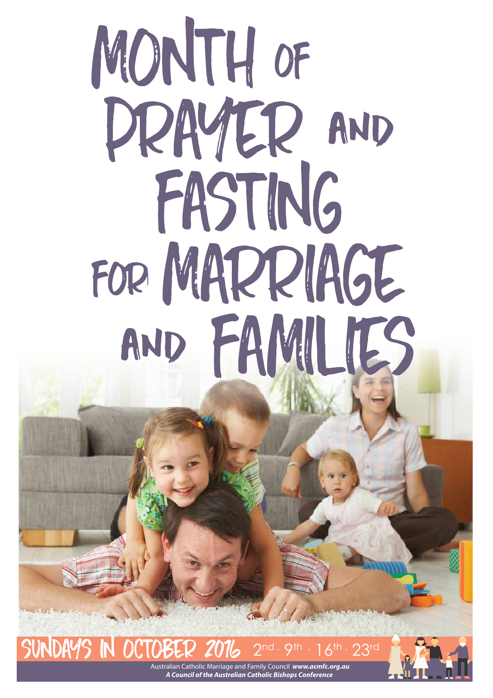# MONTH OF PRAYER AND FASTING FOR MARRIAGE AND FAMILIES